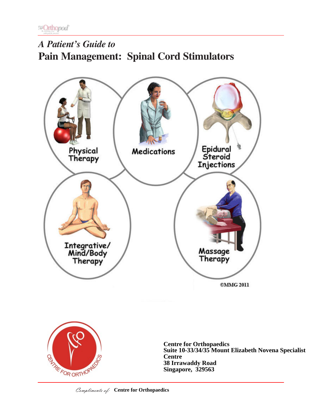# *A Patient's Guide to* **Pain Management: Spinal Cord Stimulators**





**Centre for Orthopaedics Suite 10-33/34/35 Mount Elizabeth Novena Specialist Centre 38 Irrawaddy Road Singapore, 329563**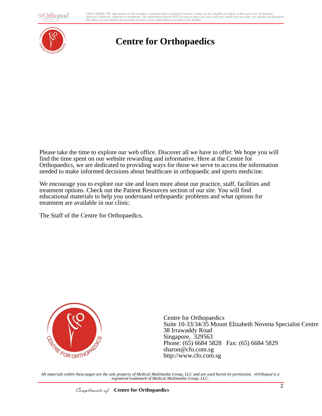**@Orthopod** 

*A Baltimons, diments of fredments. The information should NOT be used in place of a visit with your nedult care provider because of any information you read in this booklet.* DISCLAIMER: The information in this booklet is compiled from a variety of sources. It may not be complete or timely. It does not cover all diseases,<br>physical conditions, ailments or treatments. The information yould NOT be



## **Centre for Orthopaedics**

Please take the time to explore our web office. Discover all we have to offer. We hope you will find the time spent on our website rewarding and informative. Here at the Centre for Orthopaedics, we are dedicated to providing ways for those we serve to access the information needed to make informed decisions about healthcare in orthopaedic and sports medicine.

We encourage you to explore our site and learn more about our practice, staff, facilities and treatment options. Check out the Patient Resources section of our site. You will find educational materials to help you understand orthopaedic problems and what options for treatment are available in our clinic.

The Staff of the Centre for Orthopaedics.



Centre for Orthopaedics Suite 10-33/34/35 Mount Elizabeth Novena Specialist Centre 38 Irrawaddy Road Singapore, 329563 Phone: (65) 6684 5828 Fax: (65) 6684 5829 sharon@cfo.com.sg http://www.cfo.com.sg

*All materials within these pages are the sole property of Medical Multimedia Group, LLC and are used herein by permission. eOrthopod is a registered trademark of Medical Multimedia Group, LLC.*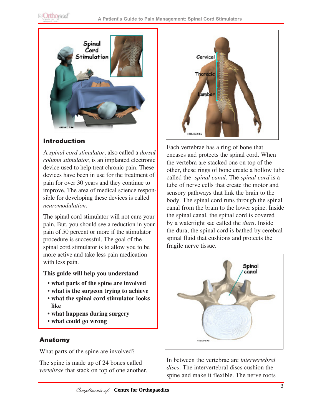

## Introduction

A *spinal cord stimulator*, also called a *dorsal column stimulator*, is an implanted electronic device used to help treat chronic pain. These devices have been in use for the treatment of pain for over 30 years and they continue to improve. The area of medical science responsible for developing these devices is called *neuromodulation*.

The spinal cord stimulator will not cure your pain. But, you should see a reduction in your pain of 50 percent or more if the stimulator procedure is successful. The goal of the spinal cord stimulator is to allow you to be more active and take less pain medication with less pain.

#### **This guide will help you understand**

- **what parts of the spine are involved**
- **what is the surgeon trying to achieve**
- **what the spinal cord stimulator looks like**
- **what happens during surgery**
- **what could go wrong**

## Anatomy

What parts of the spine are involved?

The spine is made up of 24 bones called *vertebrae* that stack on top of one another.



Each vertebrae has a ring of bone that encases and protects the spinal cord. When the vertebra are stacked one on top of the other, these rings of bone create a hollow tube called the *spinal canal*. The *spinal cord* is a tube of nerve cells that create the motor and sensory pathways that link the brain to the body. The spinal cord runs through the spinal canal from the brain to the lower spine. Inside the spinal canal, the spinal cord is covered by a watertight sac called the *dura*. Inside the dura, the spinal cord is bathed by cerebral spinal fluid that cushions and protects the fragile nerve tissue.



In between the vertebrae are *intervertebral discs*. The intervertebral discs cushion the spine and make it flexible. The nerve roots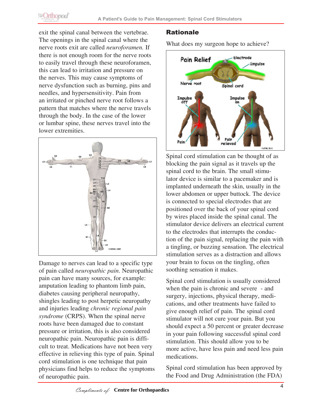exit the spinal canal between the vertebrae. The openings in the spinal canal where the nerve roots exit are called *neuroforamen.* If there is not enough room for the nerve roots to easily travel through these neuroforamen, this can lead to irritation and pressure on the nerves. This may cause symptoms of nerve dysfunction such as burning, pins and needles, and hypersensitivity. Pain from an irritated or pinched nerve root follows a pattern that matches where the nerve travels through the body. In the case of the lower or lumbar spine, these nerves travel into the lower extremities.



Damage to nerves can lead to a specific type of pain called *neuropathic pain*. Neuropathic pain can have many sources, for example: amputation leading to phantom limb pain, diabetes causing peripheral neuropathy, shingles leading to post herpetic neuropathy and injuries leading *chronic regional pain syndrome* (CRPS). When the spinal nerve roots have been damaged due to constant pressure or irritation, this is also considered neuropathic pain. Neuropathic pain is difficult to treat. Medications have not been very effective in relieving this type of pain. Spinal cord stimulation is one technique that pain physicians find helps to reduce the symptoms of neuropathic pain.

## Rationale

What does my surgeon hope to achieve?



Spinal cord stimulation can be thought of as blocking the pain signal as it travels up the spinal cord to the brain. The small stimulator device is similar to a pacemaker and is implanted underneath the skin, usually in the lower abdomen or upper buttock. The device is connected to special electrodes that are positioned over the back of your spinal cord by wires placed inside the spinal canal. The stimulator device delivers an electrical current to the electrodes that interrupts the conduction of the pain signal, replacing the pain with a tingling, or buzzing sensation. The electrical stimulation serves as a distraction and allows your brain to focus on the tingling, often soothing sensation it makes.

Spinal cord stimulation is usually considered when the pain is chronic and severe - and surgery, injections, physical therapy, medications, and other treatments have failed to give enough relief of pain. The spinal cord stimulator will not cure your pain. But you should expect a 50 percent or greater decrease in your pain following successful spinal cord stimulation. This should allow you to be more active, have less pain and need less pain medications.

Spinal cord stimulation has been approved by the Food and Drug Administration (the FDA)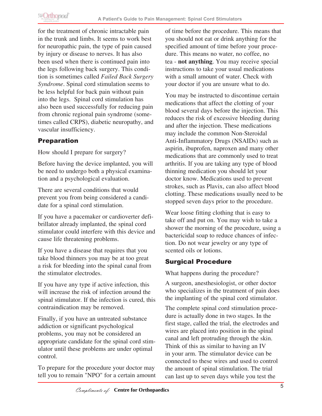for the treatment of chronic intractable pain in the trunk and limbs. It seems to work best for neuropathic pain, the type of pain caused by injury or disease to nerves. It has also been used when there is continued pain into the legs following back surgery. This condition is sometimes called *Failed Back Surgery Syndrome*. Spinal cord stimulation seems to be less helpful for back pain without pain into the legs. Spinal cord stimulation has also been used successfully for reducing pain from chronic regional pain syndrome (sometimes called CRPS), diabetic neuropathy, and vascular insufficiency.

## Preparation

How should I prepare for surgery?

Before having the device implanted, you will be need to undergo both a physical examination and a psychological evaluation.

There are several conditions that would prevent you from being considered a candidate for a spinal cord stimulation.

If you have a pacemaker or cardioverter defibrillator already implanted, the spinal cord stimulator could interfere with this device and cause life threatening problems.

If you have a disease that requires that you take blood thinners you may be at too great a risk for bleeding into the spinal canal from the stimulator electrodes.

If you have any type if active infection, this will increase the risk of infection around the spinal stimulator. If the infection is cured, this contraindication may be removed.

Finally, if you have an untreated substance addiction or significant psychological problems, you may not be considered an appropriate candidate for the spinal cord stimulator until these problems are under optimal control.

To prepare for the procedure your doctor may tell you to remain "NPO" for a certain amount of time before the procedure. This means that you should not eat or drink anything for the specified amount of time before your procedure. This means no water, no coffee, no tea - **not anything**. You may receive special instructions to take your usual medications with a small amount of water. Check with your doctor if you are unsure what to do.

You may be instructed to discontinue certain medications that affect the clotting of your blood several days before the injection. This reduces the risk of excessive bleeding during and after the injection. These medications may include the common Non-Steroidal Anti-Inflammatory Drugs (NSAIDs) such as aspirin, ibuprofen, naproxen and many other medications that are commonly used to treat arthritis. If you are taking any type of blood thinning medication you should let your doctor know. Medications used to prevent strokes, such as Plavix, can also affect blood clotting. These medications usually need to be stopped seven days prior to the procedure.

Wear loose fitting clothing that is easy to take off and put on. You may wish to take a shower the morning of the procedure, using a bactericidal soap to reduce chances of infection. Do not wear jewelry or any type of scented oils or lotions.

## Surgical Procedure

What happens during the procedure?

A surgeon, anesthesiologist, or other doctor who specializes in the treatment of pain does the implanting of the spinal cord stimulator.

The complete spinal cord stimulation procedure is actually done in two stages. In the first stage, called the trial, the electrodes and wires are placed into position in the spinal canal and left protruding through the skin. Think of this as similar to having an IV in your arm. The stimulator device can be connected to these wires and used to control the amount of spinal stimulation. The trial can last up to seven days while you test the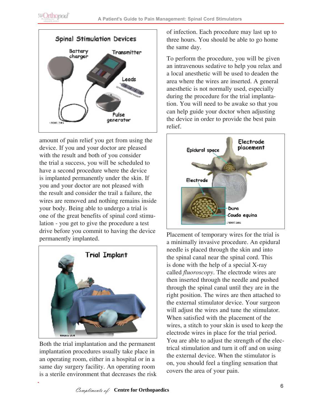

amount of pain relief you get from using the device. If you and your doctor are pleased with the result and both of you consider the trial a success, you will be scheduled to have a second procedure where the device is implanted permanently under the skin. If you and your doctor are not pleased with the result and consider the trail a failure, the wires are removed and nothing remains inside your body. Being able to undergo a trial is one of the great benefits of spinal cord stimulation - you get to give the procedure a test drive before you commit to having the device permanently implanted.



Both the trial implantation and the permanent implantation procedures usually take place in an operating room, either in a hospital or in a same day surgery facility. An operating room is a sterile environment that decreases the risk of infection. Each procedure may last up to three hours. You should be able to go home the same day.

To perform the procedure, you will be given an intravenous sedative to help you relax and a local anesthetic will be used to deaden the area where the wires are inserted. A general anesthetic is not normally used, especially during the procedure for the trial implantation. You will need to be awake so that you can help guide your doctor when adjusting the device in order to provide the best pain relief.



Placement of temporary wires for the trial is a minimally invasive procedure. An epidural needle is placed through the skin and into the spinal canal near the spinal cord. This is done with the help of a special X-ray called *fluoroscopy*. The electrode wires are then inserted through the needle and pushed through the spinal canal until they are in the right position. The wires are then attached to the external stimulator device. Your surgeon will adjust the wires and tune the stimulator. When satisfied with the placement of the wires, a stitch to your skin is used to keep the electrode wires in place for the trial period. You are able to adjust the strength of the electrical stimulation and turn it off and on using the external device. When the stimulator is on, you should feel a tingling sensation that covers the area of your pain.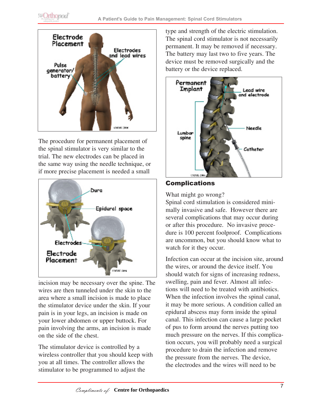

The procedure for permanent placement of the spinal stimulator is very similar to the trial. The new electrodes can be placed in the same way using the needle technique, or if more precise placement is needed a small



incision may be necessary over the spine. The wires are then tunneled under the skin to the area where a small incision is made to place the stimulator device under the skin. If your pain is in your legs, an incision is made on your lower abdomen or upper buttock. For pain involving the arms, an incision is made on the side of the chest.

The stimulator device is controlled by a wireless controller that you should keep with you at all times. The controller allows the stimulator to be programmed to adjust the

type and strength of the electric stimulation. The spinal cord stimulator is not necessarily permanent. It may be removed if necessary. The battery may last two to five years. The device must be removed surgically and the battery or the device replaced.



## Complications

What might go wrong?

Spinal cord stimulation is considered minimally invasive and safe. However there are several complications that may occur during or after this procedure. No invasive procedure is 100 percent foolproof. Complications are uncommon, but you should know what to watch for it they occur.

Infection can occur at the incision site, around the wires, or around the device itself. You should watch for signs of increasing redness, swelling, pain and fever. Almost all infections will need to be treated with antibiotics. When the infection involves the spinal canal, it may be more serious. A condition called an epidural abscess may form inside the spinal canal. This infection can cause a large pocket of pus to form around the nerves putting too much pressure on the nerves. If this complication occurs, you will probably need a surgical procedure to drain the infection and remove the pressure from the nerves. The device, the electrodes and the wires will need to be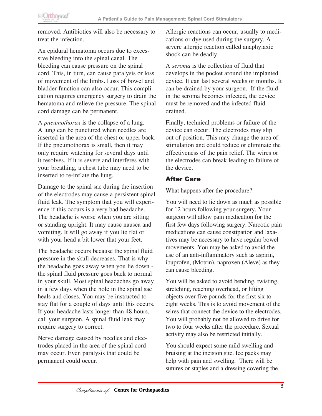removed. Antibiotics will also be necessary to treat the infection.

An epidural hematoma occurs due to excessive bleeding into the spinal canal. The bleeding can cause pressure on the spinal cord. This, in turn, can cause paralysis or loss of movement of the limbs. Loss of bowel and bladder function can also occur. This complication requires emergency surgery to drain the hematoma and relieve the pressure. The spinal cord damage can be permanent.

A *pneumothorax* is the collapse of a lung. A lung can be punctured when needles are inserted in the area of the chest or upper back. If the pneumothorax is small, then it may only require watching for several days until it resolves. If it is severe and interferes with your breathing, a chest tube may need to be inserted to re-inflate the lung.

Damage to the spinal sac during the insertion of the electrodes may cause a persistent spinal fluid leak. The symptom that you will experience if this occurs is a very bad headache. The headache is worse when you are sitting or standing upright. It may cause nausea and vomiting. It will go away if you lie flat or with your head a bit lower that your feet.

The headache occurs because the spinal fluid pressure in the skull decreases. That is why the headache goes away when you lie down the spinal fluid pressure goes back to normal in your skull. Most spinal headaches go away in a few days when the hole in the spinal sac heals and closes. You may be instructed to stay flat for a couple of days until this occurs. If your headache lasts longer than 48 hours, call your surgeon. A spinal fluid leak may require surgery to correct.

Nerve damage caused by needles and electrodes placed in the area of the spinal cord may occur. Even paralysis that could be permanent could occur.

Allergic reactions can occur, usually to medications or dye used during the surgery. A severe allergic reaction called anaphylaxic shock can be deadly.

A *seroma* is the collection of fluid that develops in the pocket around the implanted device. It can last several weeks or months. It can be drained by your surgeon. If the fluid in the seroma becomes infected, the device must be removed and the infected fluid drained.

Finally, technical problems or failure of the device can occur. The electrodes may slip out of position. This may change the area of stimulation and could reduce or eliminate the effectiveness of the pain relief. The wires or the electrodes can break leading to failure of the device.

## After Care

What happens after the procedure?

You will need to lie down as much as possible for 12 hours following your surgery. Your surgeon will allow pain medication for the first few days following surgery. Narcotic pain medications can cause constipation and laxatives may be necessary to have regular bowel movements. You may be asked to avoid the use of an anti-inflammatory such as aspirin, ibuprofen, (Motrin), naproxen (Aleve) as they can cause bleeding.

You will be asked to avoid bending, twisting, stretching, reaching overhead, or lifting objects over five pounds for the first six to eight weeks. This is to avoid movement of the wires that connect the device to the electrodes. You will probably not be allowed to drive for two to four weeks after the procedure. Sexual activity may also be restricted initially.

You should expect some mild swelling and bruising at the incision site. Ice packs may help with pain and swelling. There will be sutures or staples and a dressing covering the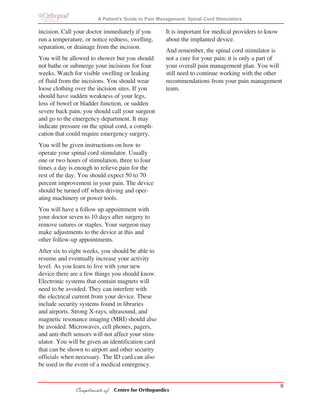incision. Call your doctor immediately if you run a temperature, or notice redness, swelling, separation, or drainage from the incision.

You will be allowed to shower but you should not bathe or submerge your incisions for four weeks. Watch for visible swelling or leaking of fluid from the incisions. You should wear loose clothing over the incision sites. If you should have sudden weakness of your legs, loss of bowel or bladder function, or sudden severe back pain, you should call your surgeon and go to the emergency department. It may indicate pressure on the spinal cord, a complication that could require emergency surgery.

You will be given instructions on how to operate your spinal cord stimulator. Usually one or two hours of stimulation, three to four times a day is enough to relieve pain for the rest of the day. You should expect 50 to 70 percent improvement in your pain. The device should be turned off when driving and operating machinery or power tools.

You will have a follow up appointment with your doctor seven to 10 days after surgery to remove sutures or staples. Your surgeon may make adjustments to the device at this and other follow-up appointments.

After six to eight weeks, you should be able to resume and eventually increase your activity level. As you learn to live with your new device there are a few things you should know. Electronic systems that contain magnets will need to be avoided. They can interfere with the electrical current from your device. These include security systems found in libraries and airports. Strong X-rays, ultrasound, and magnetic resonance imaging (MRI) should also be avoided. Microwaves, cell phones, pagers, and anti-theft sensors will not affect your stimulator. You will be given an identification card that can be shown to airport and other security officials when necessary. The ID card can also be used in the event of a medical emergency.

It is important for medical providers to know about the implanted device.

And remember, the spinal cord stimulator is not a cure for your pain; it is only a part of your overall pain management plan. You will still need to continue working with the other recommendations from your pain management team.